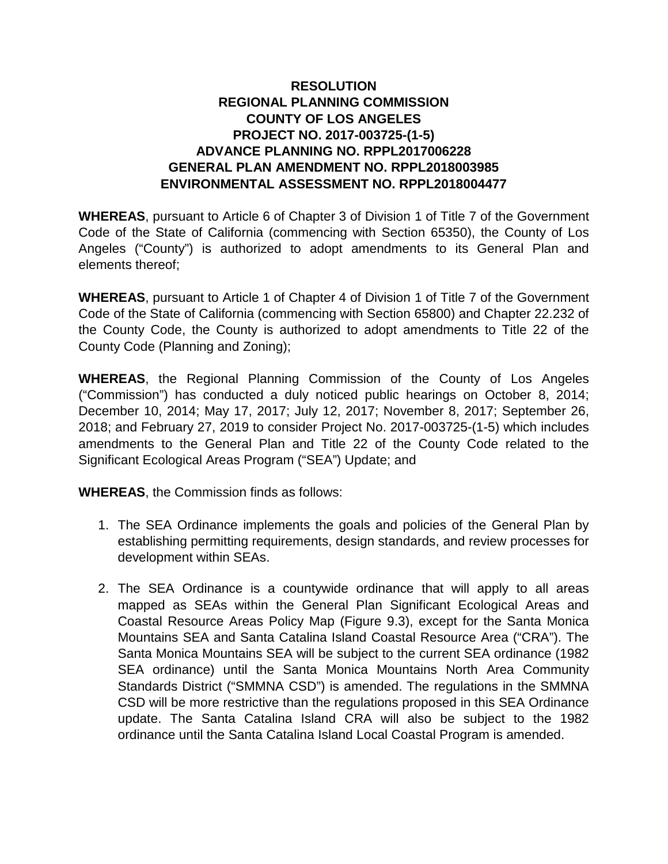## **RESOLUTION REGIONAL PLANNING COMMISSION COUNTY OF LOS ANGELES PROJECT NO. 2017-003725-(1-5) ADVANCE PLANNING NO. RPPL2017006228 GENERAL PLAN AMENDMENT NO. RPPL2018003985 ENVIRONMENTAL ASSESSMENT NO. RPPL2018004477**

**WHEREAS**, pursuant to Article 6 of Chapter 3 of Division 1 of Title 7 of the Government Code of the State of California (commencing with Section 65350), the County of Los Angeles ("County") is authorized to adopt amendments to its General Plan and elements thereof;

**WHEREAS**, pursuant to Article 1 of Chapter 4 of Division 1 of Title 7 of the Government Code of the State of California (commencing with Section 65800) and Chapter 22.232 of the County Code, the County is authorized to adopt amendments to Title 22 of the County Code (Planning and Zoning);

**WHEREAS**, the Regional Planning Commission of the County of Los Angeles ("Commission") has conducted a duly noticed public hearings on October 8, 2014; December 10, 2014; May 17, 2017; July 12, 2017; November 8, 2017; September 26, 2018; and February 27, 2019 to consider Project No. 2017-003725-(1-5) which includes amendments to the General Plan and Title 22 of the County Code related to the Significant Ecological Areas Program ("SEA") Update; and

**WHEREAS**, the Commission finds as follows:

- 1. The SEA Ordinance implements the goals and policies of the General Plan by establishing permitting requirements, design standards, and review processes for development within SEAs.
- 2. The SEA Ordinance is a countywide ordinance that will apply to all areas mapped as SEAs within the General Plan Significant Ecological Areas and Coastal Resource Areas Policy Map (Figure 9.3), except for the Santa Monica Mountains SEA and Santa Catalina Island Coastal Resource Area ("CRA"). The Santa Monica Mountains SEA will be subject to the current SEA ordinance (1982 SEA ordinance) until the Santa Monica Mountains North Area Community Standards District ("SMMNA CSD") is amended. The regulations in the SMMNA CSD will be more restrictive than the regulations proposed in this SEA Ordinance update. The Santa Catalina Island CRA will also be subject to the 1982 ordinance until the Santa Catalina Island Local Coastal Program is amended.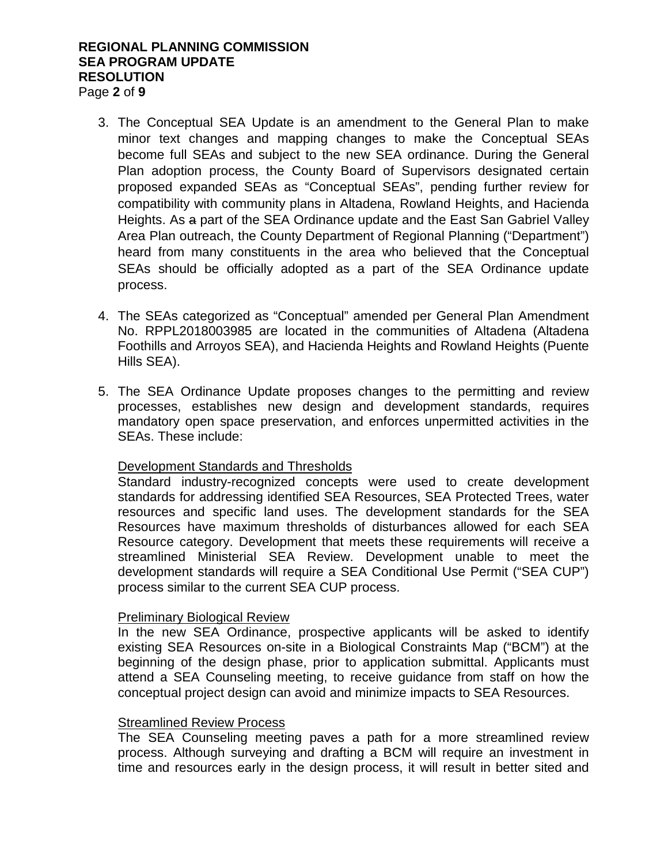#### **REGIONAL PLANNING COMMISSION SEA PROGRAM UPDATE RESOLUTION** Page **2** of **9**

- 3. The Conceptual SEA Update is an amendment to the General Plan to make minor text changes and mapping changes to make the Conceptual SEAs become full SEAs and subject to the new SEA ordinance. During the General Plan adoption process, the County Board of Supervisors designated certain proposed expanded SEAs as "Conceptual SEAs", pending further review for compatibility with community plans in Altadena, Rowland Heights, and Hacienda Heights. As a part of the SEA Ordinance update and the East San Gabriel Valley Area Plan outreach, the County Department of Regional Planning ("Department") heard from many constituents in the area who believed that the Conceptual SEAs should be officially adopted as a part of the SEA Ordinance update process.
- 4. The SEAs categorized as "Conceptual" amended per General Plan Amendment No. RPPL2018003985 are located in the communities of Altadena (Altadena Foothills and Arroyos SEA), and Hacienda Heights and Rowland Heights (Puente Hills SEA).
- 5. The SEA Ordinance Update proposes changes to the permitting and review processes, establishes new design and development standards, requires mandatory open space preservation, and enforces unpermitted activities in the SEAs. These include:

## Development Standards and Thresholds

Standard industry-recognized concepts were used to create development standards for addressing identified SEA Resources, SEA Protected Trees, water resources and specific land uses. The development standards for the SEA Resources have maximum thresholds of disturbances allowed for each SEA Resource category. Development that meets these requirements will receive a streamlined Ministerial SEA Review. Development unable to meet the development standards will require a SEA Conditional Use Permit ("SEA CUP") process similar to the current SEA CUP process.

## Preliminary Biological Review

In the new SEA Ordinance, prospective applicants will be asked to identify existing SEA Resources on-site in a Biological Constraints Map ("BCM") at the beginning of the design phase, prior to application submittal. Applicants must attend a SEA Counseling meeting, to receive guidance from staff on how the conceptual project design can avoid and minimize impacts to SEA Resources.

## Streamlined Review Process

The SEA Counseling meeting paves a path for a more streamlined review process. Although surveying and drafting a BCM will require an investment in time and resources early in the design process, it will result in better sited and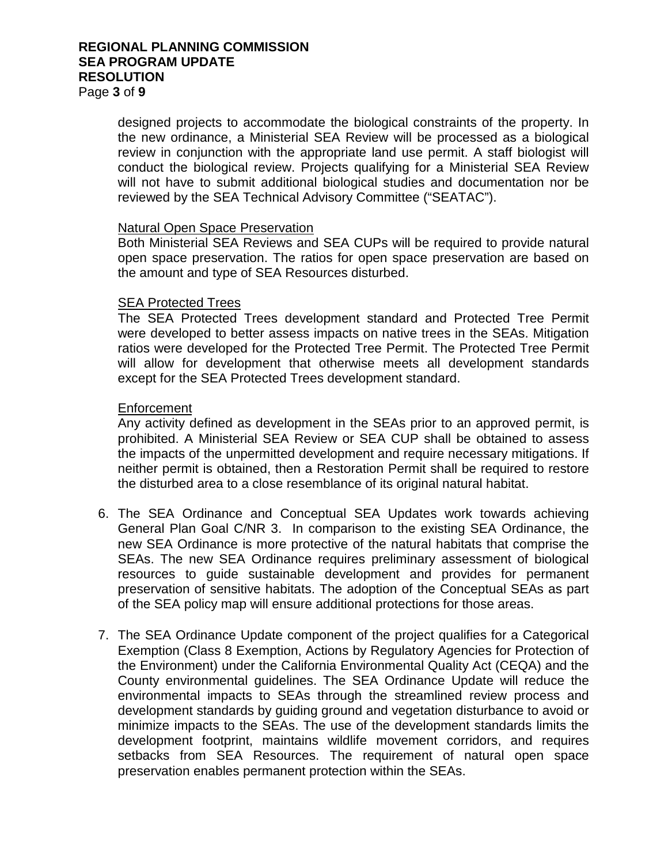## **REGIONAL PLANNING COMMISSION SEA PROGRAM UPDATE RESOLUTION**

Page **3** of **9**

designed projects to accommodate the biological constraints of the property. In the new ordinance, a Ministerial SEA Review will be processed as a biological review in conjunction with the appropriate land use permit. A staff biologist will conduct the biological review. Projects qualifying for a Ministerial SEA Review will not have to submit additional biological studies and documentation nor be reviewed by the SEA Technical Advisory Committee ("SEATAC").

## Natural Open Space Preservation

Both Ministerial SEA Reviews and SEA CUPs will be required to provide natural open space preservation. The ratios for open space preservation are based on the amount and type of SEA Resources disturbed.

## SEA Protected Trees

The SEA Protected Trees development standard and Protected Tree Permit were developed to better assess impacts on native trees in the SEAs. Mitigation ratios were developed for the Protected Tree Permit. The Protected Tree Permit will allow for development that otherwise meets all development standards except for the SEA Protected Trees development standard.

## Enforcement

Any activity defined as development in the SEAs prior to an approved permit, is prohibited. A Ministerial SEA Review or SEA CUP shall be obtained to assess the impacts of the unpermitted development and require necessary mitigations. If neither permit is obtained, then a Restoration Permit shall be required to restore the disturbed area to a close resemblance of its original natural habitat.

- 6. The SEA Ordinance and Conceptual SEA Updates work towards achieving General Plan Goal C/NR 3. In comparison to the existing SEA Ordinance, the new SEA Ordinance is more protective of the natural habitats that comprise the SEAs. The new SEA Ordinance requires preliminary assessment of biological resources to guide sustainable development and provides for permanent preservation of sensitive habitats. The adoption of the Conceptual SEAs as part of the SEA policy map will ensure additional protections for those areas.
- 7. The SEA Ordinance Update component of the project qualifies for a Categorical Exemption (Class 8 Exemption, Actions by Regulatory Agencies for Protection of the Environment) under the California Environmental Quality Act (CEQA) and the County environmental guidelines. The SEA Ordinance Update will reduce the environmental impacts to SEAs through the streamlined review process and development standards by guiding ground and vegetation disturbance to avoid or minimize impacts to the SEAs. The use of the development standards limits the development footprint, maintains wildlife movement corridors, and requires setbacks from SEA Resources. The requirement of natural open space preservation enables permanent protection within the SEAs.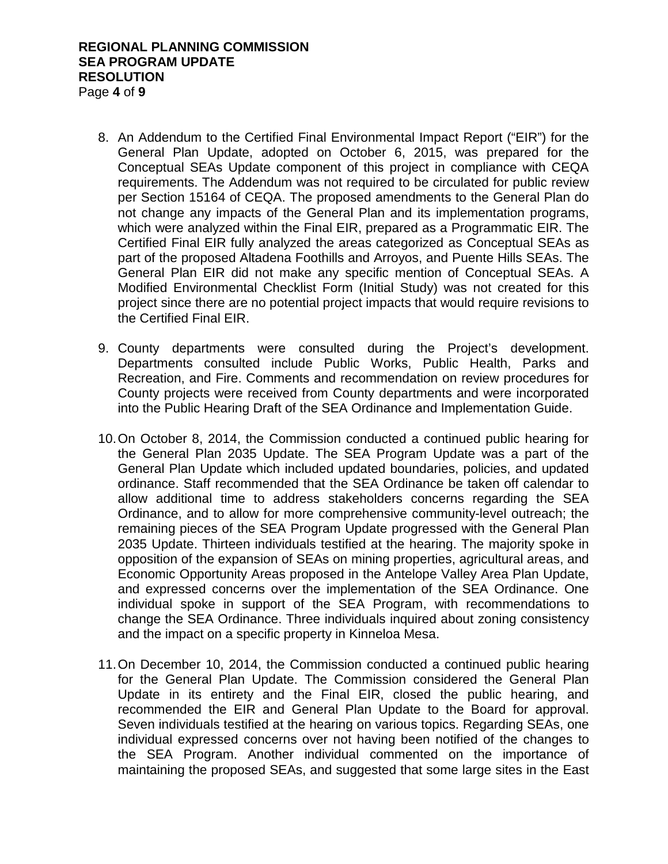#### **REGIONAL PLANNING COMMISSION SEA PROGRAM UPDATE RESOLUTION** Page **4** of **9**

- 8. An Addendum to the Certified Final Environmental Impact Report ("EIR") for the General Plan Update, adopted on October 6, 2015, was prepared for the Conceptual SEAs Update component of this project in compliance with CEQA requirements. The Addendum was not required to be circulated for public review per Section 15164 of CEQA. The proposed amendments to the General Plan do not change any impacts of the General Plan and its implementation programs, which were analyzed within the Final EIR, prepared as a Programmatic EIR. The Certified Final EIR fully analyzed the areas categorized as Conceptual SEAs as part of the proposed Altadena Foothills and Arroyos, and Puente Hills SEAs. The General Plan EIR did not make any specific mention of Conceptual SEAs. A Modified Environmental Checklist Form (Initial Study) was not created for this project since there are no potential project impacts that would require revisions to the Certified Final EIR.
- 9. County departments were consulted during the Project's development. Departments consulted include Public Works, Public Health, Parks and Recreation, and Fire. Comments and recommendation on review procedures for County projects were received from County departments and were incorporated into the Public Hearing Draft of the SEA Ordinance and Implementation Guide.
- 10.On October 8, 2014, the Commission conducted a continued public hearing for the General Plan 2035 Update. The SEA Program Update was a part of the General Plan Update which included updated boundaries, policies, and updated ordinance. Staff recommended that the SEA Ordinance be taken off calendar to allow additional time to address stakeholders concerns regarding the SEA Ordinance, and to allow for more comprehensive community-level outreach; the remaining pieces of the SEA Program Update progressed with the General Plan 2035 Update. Thirteen individuals testified at the hearing. The majority spoke in opposition of the expansion of SEAs on mining properties, agricultural areas, and Economic Opportunity Areas proposed in the Antelope Valley Area Plan Update, and expressed concerns over the implementation of the SEA Ordinance. One individual spoke in support of the SEA Program, with recommendations to change the SEA Ordinance. Three individuals inquired about zoning consistency and the impact on a specific property in Kinneloa Mesa.
- 11.On December 10, 2014, the Commission conducted a continued public hearing for the General Plan Update. The Commission considered the General Plan Update in its entirety and the Final EIR, closed the public hearing, and recommended the EIR and General Plan Update to the Board for approval. Seven individuals testified at the hearing on various topics. Regarding SEAs, one individual expressed concerns over not having been notified of the changes to the SEA Program. Another individual commented on the importance of maintaining the proposed SEAs, and suggested that some large sites in the East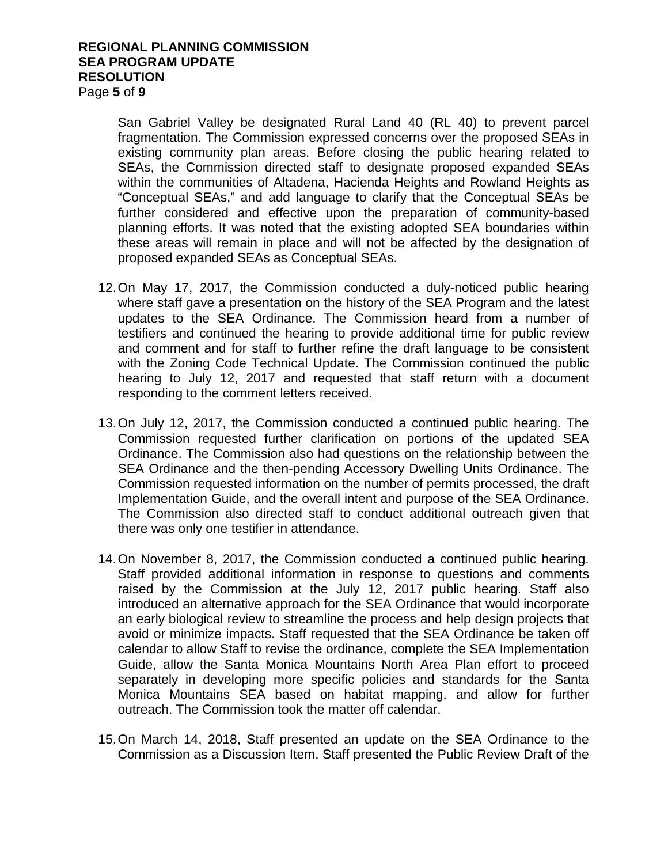#### **REGIONAL PLANNING COMMISSION SEA PROGRAM UPDATE RESOLUTION** Page **5** of **9**

San Gabriel Valley be designated Rural Land 40 (RL 40) to prevent parcel fragmentation. The Commission expressed concerns over the proposed SEAs in existing community plan areas. Before closing the public hearing related to SEAs, the Commission directed staff to designate proposed expanded SEAs within the communities of Altadena, Hacienda Heights and Rowland Heights as "Conceptual SEAs," and add language to clarify that the Conceptual SEAs be further considered and effective upon the preparation of community-based planning efforts. It was noted that the existing adopted SEA boundaries within these areas will remain in place and will not be affected by the designation of proposed expanded SEAs as Conceptual SEAs.

- 12.On May 17, 2017, the Commission conducted a duly-noticed public hearing where staff gave a presentation on the history of the SEA Program and the latest updates to the SEA Ordinance. The Commission heard from a number of testifiers and continued the hearing to provide additional time for public review and comment and for staff to further refine the draft language to be consistent with the Zoning Code Technical Update. The Commission continued the public hearing to July 12, 2017 and requested that staff return with a document responding to the comment letters received.
- 13.On July 12, 2017, the Commission conducted a continued public hearing. The Commission requested further clarification on portions of the updated SEA Ordinance. The Commission also had questions on the relationship between the SEA Ordinance and the then-pending Accessory Dwelling Units Ordinance. The Commission requested information on the number of permits processed, the draft Implementation Guide, and the overall intent and purpose of the SEA Ordinance. The Commission also directed staff to conduct additional outreach given that there was only one testifier in attendance.
- 14.On November 8, 2017, the Commission conducted a continued public hearing. Staff provided additional information in response to questions and comments raised by the Commission at the July 12, 2017 public hearing. Staff also introduced an alternative approach for the SEA Ordinance that would incorporate an early biological review to streamline the process and help design projects that avoid or minimize impacts. Staff requested that the SEA Ordinance be taken off calendar to allow Staff to revise the ordinance, complete the SEA Implementation Guide, allow the Santa Monica Mountains North Area Plan effort to proceed separately in developing more specific policies and standards for the Santa Monica Mountains SEA based on habitat mapping, and allow for further outreach. The Commission took the matter off calendar.
- 15.On March 14, 2018, Staff presented an update on the SEA Ordinance to the Commission as a Discussion Item. Staff presented the Public Review Draft of the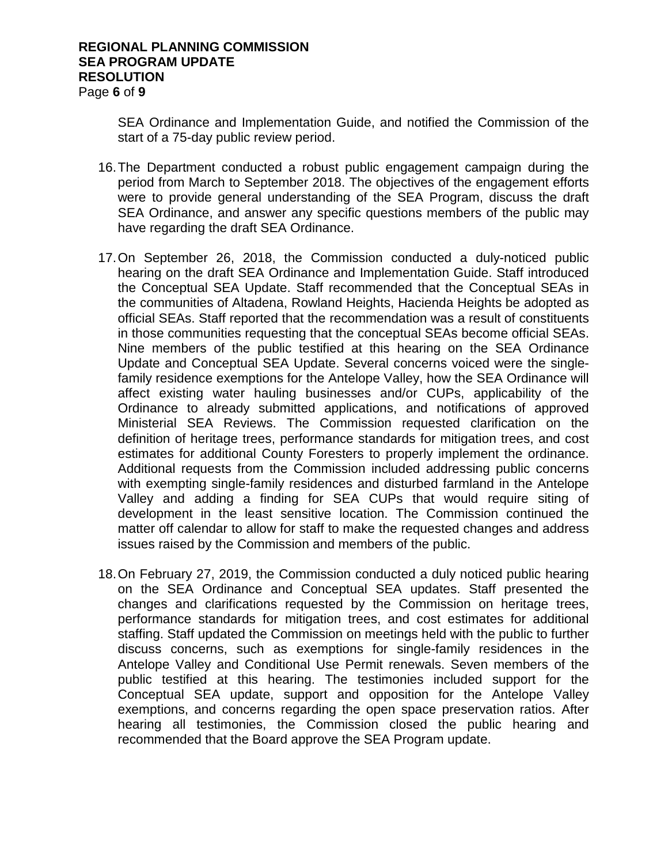#### **REGIONAL PLANNING COMMISSION SEA PROGRAM UPDATE RESOLUTION** Page **6** of **9**

SEA Ordinance and Implementation Guide, and notified the Commission of the start of a 75-day public review period.

- 16.The Department conducted a robust public engagement campaign during the period from March to September 2018. The objectives of the engagement efforts were to provide general understanding of the SEA Program, discuss the draft SEA Ordinance, and answer any specific questions members of the public may have regarding the draft SEA Ordinance.
- 17.On September 26, 2018, the Commission conducted a duly-noticed public hearing on the draft SEA Ordinance and Implementation Guide. Staff introduced the Conceptual SEA Update. Staff recommended that the Conceptual SEAs in the communities of Altadena, Rowland Heights, Hacienda Heights be adopted as official SEAs. Staff reported that the recommendation was a result of constituents in those communities requesting that the conceptual SEAs become official SEAs. Nine members of the public testified at this hearing on the SEA Ordinance Update and Conceptual SEA Update. Several concerns voiced were the singlefamily residence exemptions for the Antelope Valley, how the SEA Ordinance will affect existing water hauling businesses and/or CUPs, applicability of the Ordinance to already submitted applications, and notifications of approved Ministerial SEA Reviews. The Commission requested clarification on the definition of heritage trees, performance standards for mitigation trees, and cost estimates for additional County Foresters to properly implement the ordinance. Additional requests from the Commission included addressing public concerns with exempting single-family residences and disturbed farmland in the Antelope Valley and adding a finding for SEA CUPs that would require siting of development in the least sensitive location. The Commission continued the matter off calendar to allow for staff to make the requested changes and address issues raised by the Commission and members of the public.
- 18.On February 27, 2019, the Commission conducted a duly noticed public hearing on the SEA Ordinance and Conceptual SEA updates. Staff presented the changes and clarifications requested by the Commission on heritage trees, performance standards for mitigation trees, and cost estimates for additional staffing. Staff updated the Commission on meetings held with the public to further discuss concerns, such as exemptions for single-family residences in the Antelope Valley and Conditional Use Permit renewals. Seven members of the public testified at this hearing. The testimonies included support for the Conceptual SEA update, support and opposition for the Antelope Valley exemptions, and concerns regarding the open space preservation ratios. After hearing all testimonies, the Commission closed the public hearing and recommended that the Board approve the SEA Program update.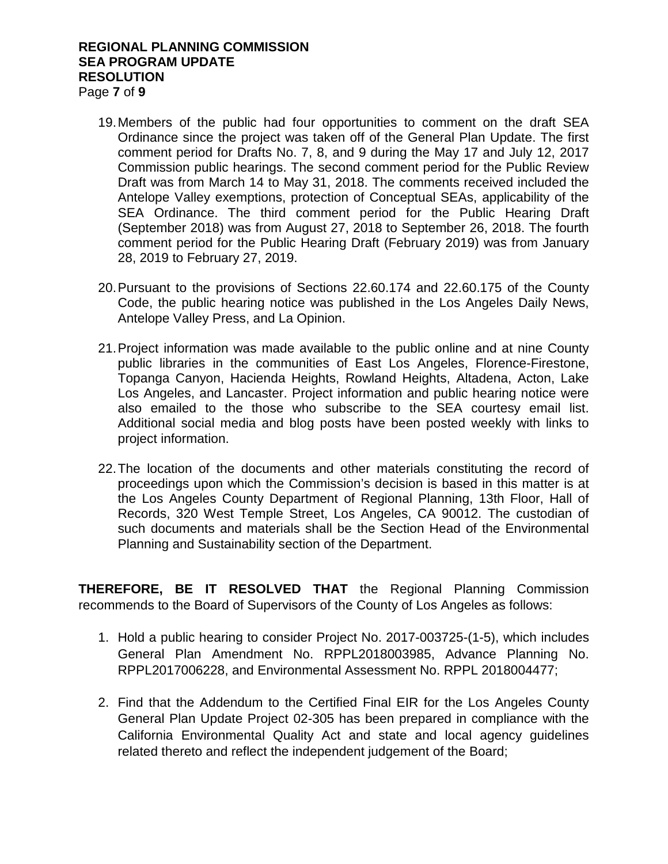#### **REGIONAL PLANNING COMMISSION SEA PROGRAM UPDATE RESOLUTION** Page **7** of **9**

- 19.Members of the public had four opportunities to comment on the draft SEA Ordinance since the project was taken off of the General Plan Update. The first comment period for Drafts No. 7, 8, and 9 during the May 17 and July 12, 2017 Commission public hearings. The second comment period for the Public Review Draft was from March 14 to May 31, 2018. The comments received included the Antelope Valley exemptions, protection of Conceptual SEAs, applicability of the SEA Ordinance. The third comment period for the Public Hearing Draft (September 2018) was from August 27, 2018 to September 26, 2018. The fourth comment period for the Public Hearing Draft (February 2019) was from January 28, 2019 to February 27, 2019.
- 20.Pursuant to the provisions of Sections 22.60.174 and 22.60.175 of the County Code, the public hearing notice was published in the Los Angeles Daily News, Antelope Valley Press, and La Opinion.
- 21.Project information was made available to the public online and at nine County public libraries in the communities of East Los Angeles, Florence-Firestone, Topanga Canyon, Hacienda Heights, Rowland Heights, Altadena, Acton, Lake Los Angeles, and Lancaster. Project information and public hearing notice were also emailed to the those who subscribe to the SEA courtesy email list. Additional social media and blog posts have been posted weekly with links to project information.
- 22.The location of the documents and other materials constituting the record of proceedings upon which the Commission's decision is based in this matter is at the Los Angeles County Department of Regional Planning, 13th Floor, Hall of Records, 320 West Temple Street, Los Angeles, CA 90012. The custodian of such documents and materials shall be the Section Head of the Environmental Planning and Sustainability section of the Department.

**THEREFORE, BE IT RESOLVED THAT** the Regional Planning Commission recommends to the Board of Supervisors of the County of Los Angeles as follows:

- 1. Hold a public hearing to consider Project No. 2017-003725-(1-5), which includes General Plan Amendment No. RPPL2018003985, Advance Planning No. RPPL2017006228, and Environmental Assessment No. RPPL 2018004477;
- 2. Find that the Addendum to the Certified Final EIR for the Los Angeles County General Plan Update Project 02-305 has been prepared in compliance with the California Environmental Quality Act and state and local agency guidelines related thereto and reflect the independent judgement of the Board;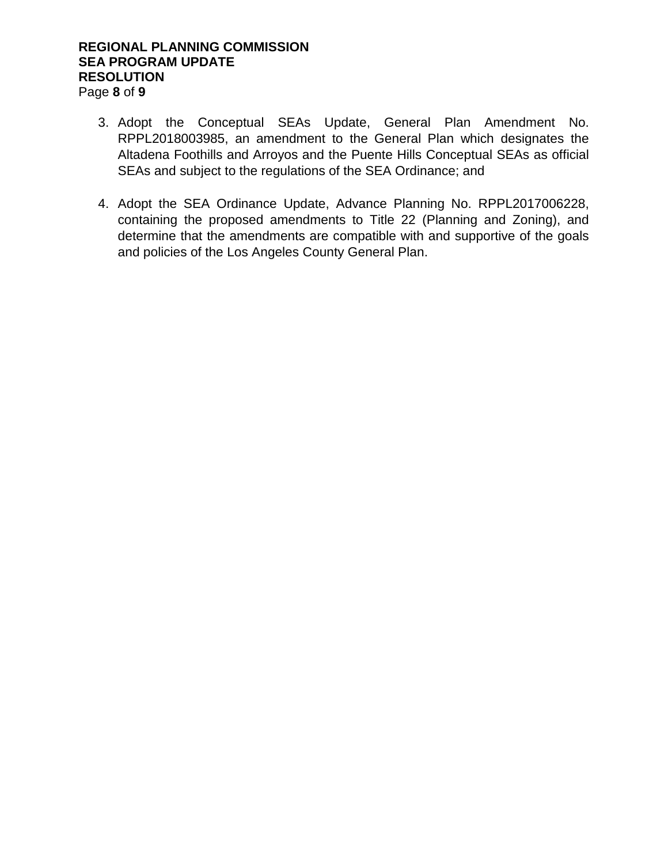### **REGIONAL PLANNING COMMISSION SEA PROGRAM UPDATE RESOLUTION** Page **8** of **9**

- 3. Adopt the Conceptual SEAs Update, General Plan Amendment No. RPPL2018003985, an amendment to the General Plan which designates the Altadena Foothills and Arroyos and the Puente Hills Conceptual SEAs as official SEAs and subject to the regulations of the SEA Ordinance; and
- 4. Adopt the SEA Ordinance Update, Advance Planning No. RPPL2017006228, containing the proposed amendments to Title 22 (Planning and Zoning), and determine that the amendments are compatible with and supportive of the goals and policies of the Los Angeles County General Plan.